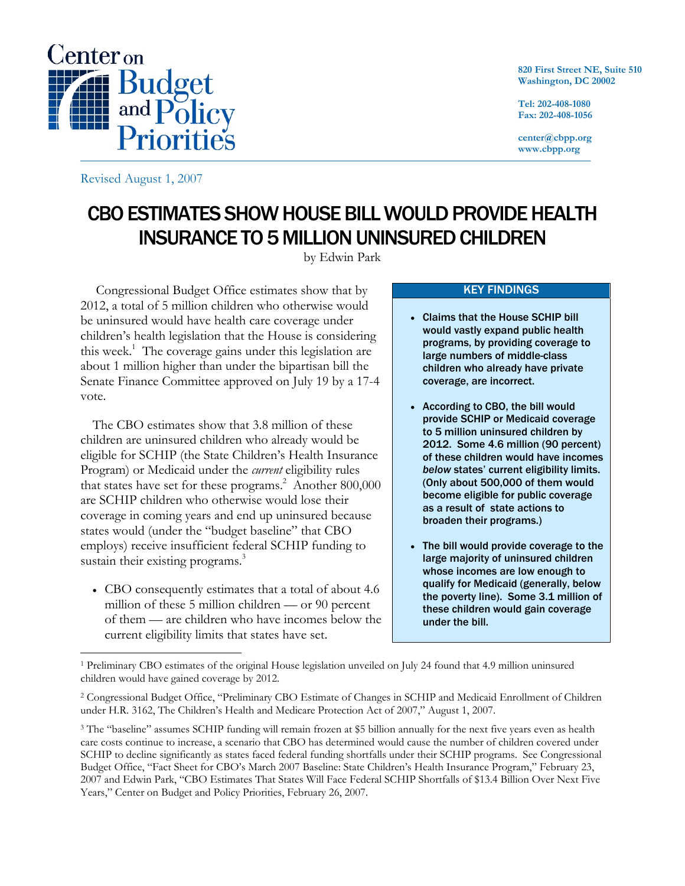

**820 First Street NE, Suite 510 Washington, DC 20002** 

**Tel: 202-408-1080 Fax: 202-408-1056** 

**center@cbpp.org www.cbpp.org** 

Revised August 1, 2007

 $\overline{a}$ 

# CBO ESTIMATES SHOW HOUSE BILL WOULD PROVIDE HEALTH INSURANCE TO 5 MILLION UNINSURED CHILDREN

by Edwin Park

 Congressional Budget Office estimates show that by 2012, a total of 5 million children who otherwise would be uninsured would have health care coverage under children's health legislation that the House is considering this week.<sup>1</sup> The coverage gains under this legislation are about 1 million higher than under the bipartisan bill the Senate Finance Committee approved on July 19 by a 17-4 vote.

The CBO estimates show that 3.8 million of these children are uninsured children who already would be eligible for SCHIP (the State Children's Health Insurance Program) or Medicaid under the *current* eligibility rules that states have set for these programs.<sup>2</sup> Another 800,000 are SCHIP children who otherwise would lose their coverage in coming years and end up uninsured because states would (under the "budget baseline" that CBO employs) receive insufficient federal SCHIP funding to sustain their existing programs.<sup>3</sup>

• CBO consequently estimates that a total of about 4.6 million of these 5 million children — or 90 percent of them — are children who have incomes below the current eligibility limits that states have set.

#### KEY FINDINGS

- Claims that the House SCHIP bill would vastly expand public health programs, by providing coverage to large numbers of middle-class children who already have private coverage, are incorrect.
- According to CBO, the bill would provide SCHIP or Medicaid coverage to 5 million uninsured children by 2012. Some 4.6 million (90 percent) of these children would have incomes *below* states' current eligibility limits. (Only about 500,000 of them would become eligible for public coverage as a result of state actions to broaden their programs.)
- The bill would provide coverage to the large majority of uninsured children whose incomes are low enough to qualify for Medicaid (generally, below the poverty line). Some 3.1 million of these children would gain coverage under the bill.

<sup>1</sup> Preliminary CBO estimates of the original House legislation unveiled on July 24 found that 4.9 million uninsured children would have gained coverage by 2012.

<sup>2</sup> Congressional Budget Office, "Preliminary CBO Estimate of Changes in SCHIP and Medicaid Enrollment of Children under H.R. 3162, The Children's Health and Medicare Protection Act of 2007," August 1, 2007.

<sup>&</sup>lt;sup>3</sup> The "baseline" assumes SCHIP funding will remain frozen at \$5 billion annually for the next five years even as health care costs continue to increase, a scenario that CBO has determined would cause the number of children covered under SCHIP to decline significantly as states faced federal funding shortfalls under their SCHIP programs. See Congressional Budget Office, "Fact Sheet for CBO's March 2007 Baseline: State Children's Health Insurance Program," February 23, 2007 and Edwin Park, "CBO Estimates That States Will Face Federal SCHIP Shortfalls of \$13.4 Billion Over Next Five Years," Center on Budget and Policy Priorities, February 26, 2007.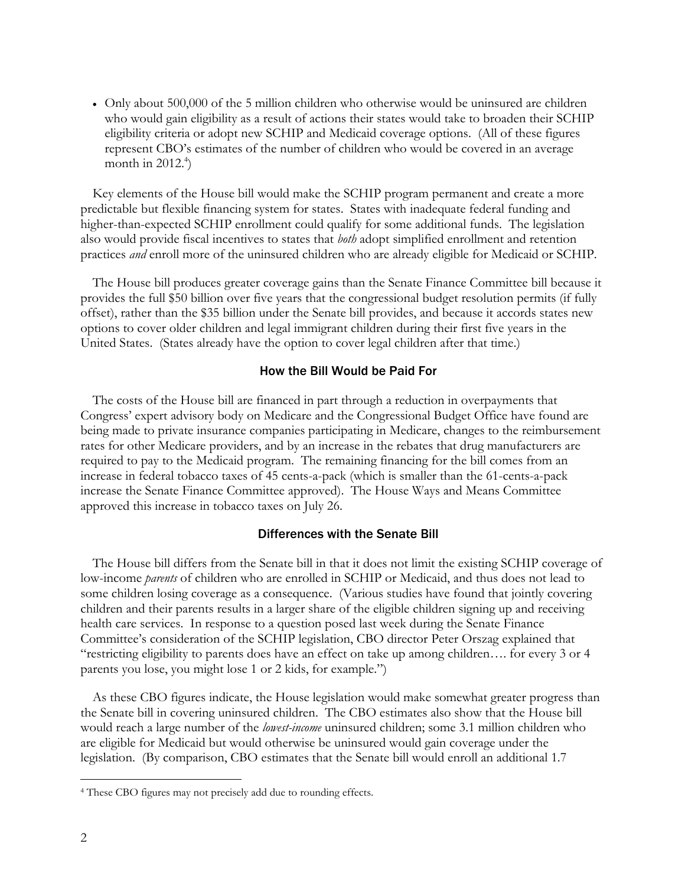• Only about 500,000 of the 5 million children who otherwise would be uninsured are children who would gain eligibility as a result of actions their states would take to broaden their SCHIP eligibility criteria or adopt new SCHIP and Medicaid coverage options. (All of these figures represent CBO's estimates of the number of children who would be covered in an average month in  $2012.<sup>4</sup>$ )

Key elements of the House bill would make the SCHIP program permanent and create a more predictable but flexible financing system for states. States with inadequate federal funding and higher-than-expected SCHIP enrollment could qualify for some additional funds. The legislation also would provide fiscal incentives to states that *both* adopt simplified enrollment and retention practices *and* enroll more of the uninsured children who are already eligible for Medicaid or SCHIP.

The House bill produces greater coverage gains than the Senate Finance Committee bill because it provides the full \$50 billion over five years that the congressional budget resolution permits (if fully offset), rather than the \$35 billion under the Senate bill provides, and because it accords states new options to cover older children and legal immigrant children during their first five years in the United States. (States already have the option to cover legal children after that time.)

## How the Bill Would be Paid For

The costs of the House bill are financed in part through a reduction in overpayments that Congress' expert advisory body on Medicare and the Congressional Budget Office have found are being made to private insurance companies participating in Medicare, changes to the reimbursement rates for other Medicare providers, and by an increase in the rebates that drug manufacturers are required to pay to the Medicaid program. The remaining financing for the bill comes from an increase in federal tobacco taxes of 45 cents-a-pack (which is smaller than the 61-cents-a-pack increase the Senate Finance Committee approved). The House Ways and Means Committee approved this increase in tobacco taxes on July 26.

#### Differences with the Senate Bill

The House bill differs from the Senate bill in that it does not limit the existing SCHIP coverage of low-income *parents* of children who are enrolled in SCHIP or Medicaid, and thus does not lead to some children losing coverage as a consequence. (Various studies have found that jointly covering children and their parents results in a larger share of the eligible children signing up and receiving health care services. In response to a question posed last week during the Senate Finance Committee's consideration of the SCHIP legislation, CBO director Peter Orszag explained that "restricting eligibility to parents does have an effect on take up among children…. for every 3 or 4 parents you lose, you might lose 1 or 2 kids, for example.")

As these CBO figures indicate, the House legislation would make somewhat greater progress than the Senate bill in covering uninsured children. The CBO estimates also show that the House bill would reach a large number of the *lowest-income* uninsured children; some 3.1 million children who are eligible for Medicaid but would otherwise be uninsured would gain coverage under the legislation. (By comparison, CBO estimates that the Senate bill would enroll an additional 1.7

 $\overline{a}$ 

<sup>4</sup> These CBO figures may not precisely add due to rounding effects.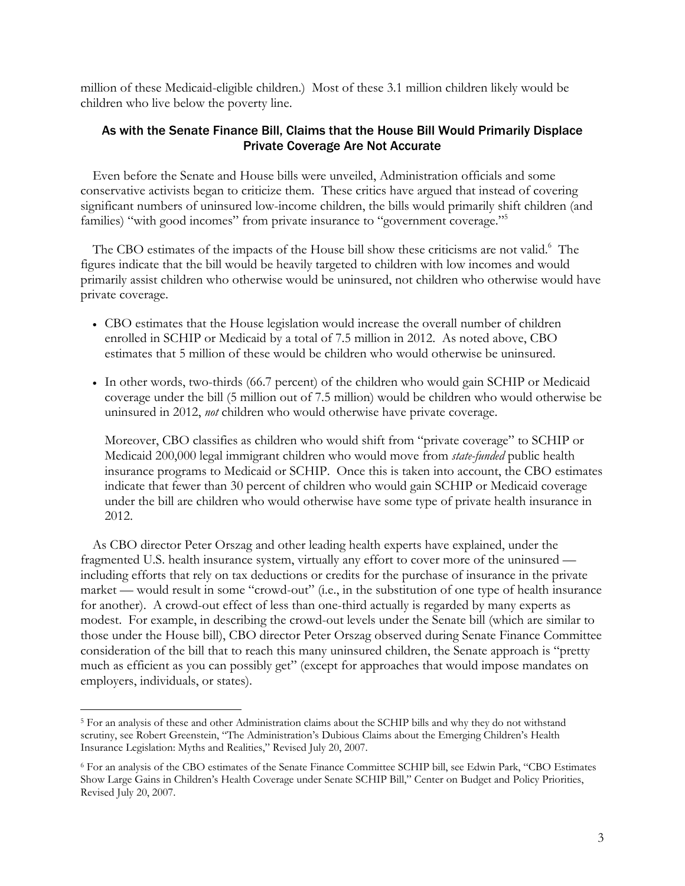million of these Medicaid-eligible children.) Most of these 3.1 million children likely would be children who live below the poverty line.

## As with the Senate Finance Bill, Claims that the House Bill Would Primarily Displace Private Coverage Are Not Accurate

Even before the Senate and House bills were unveiled, Administration officials and some conservative activists began to criticize them. These critics have argued that instead of covering significant numbers of uninsured low-income children, the bills would primarily shift children (and families) "with good incomes" from private insurance to "government coverage."<sup>5</sup>

The CBO estimates of the impacts of the House bill show these criticisms are not valid.<sup>6</sup> The figures indicate that the bill would be heavily targeted to children with low incomes and would primarily assist children who otherwise would be uninsured, not children who otherwise would have private coverage.

- CBO estimates that the House legislation would increase the overall number of children enrolled in SCHIP or Medicaid by a total of 7.5 million in 2012. As noted above, CBO estimates that 5 million of these would be children who would otherwise be uninsured.
- In other words, two-thirds (66.7 percent) of the children who would gain SCHIP or Medicaid coverage under the bill (5 million out of 7.5 million) would be children who would otherwise be uninsured in 2012, *not* children who would otherwise have private coverage.

Moreover, CBO classifies as children who would shift from "private coverage" to SCHIP or Medicaid 200,000 legal immigrant children who would move from *state-funded* public health insurance programs to Medicaid or SCHIP. Once this is taken into account, the CBO estimates indicate that fewer than 30 percent of children who would gain SCHIP or Medicaid coverage under the bill are children who would otherwise have some type of private health insurance in 2012.

As CBO director Peter Orszag and other leading health experts have explained, under the fragmented U.S. health insurance system, virtually any effort to cover more of the uninsured including efforts that rely on tax deductions or credits for the purchase of insurance in the private market — would result in some "crowd-out" (i.e., in the substitution of one type of health insurance for another). A crowd-out effect of less than one-third actually is regarded by many experts as modest. For example, in describing the crowd-out levels under the Senate bill (which are similar to those under the House bill), CBO director Peter Orszag observed during Senate Finance Committee consideration of the bill that to reach this many uninsured children, the Senate approach is "pretty much as efficient as you can possibly get" (except for approaches that would impose mandates on employers, individuals, or states).

-

<sup>5</sup> For an analysis of these and other Administration claims about the SCHIP bills and why they do not withstand scrutiny, see Robert Greenstein, "The Administration's Dubious Claims about the Emerging Children's Health Insurance Legislation: Myths and Realities," Revised July 20, 2007.

<sup>6</sup> For an analysis of the CBO estimates of the Senate Finance Committee SCHIP bill, see Edwin Park, "CBO Estimates Show Large Gains in Children's Health Coverage under Senate SCHIP Bill," Center on Budget and Policy Priorities, Revised July 20, 2007.